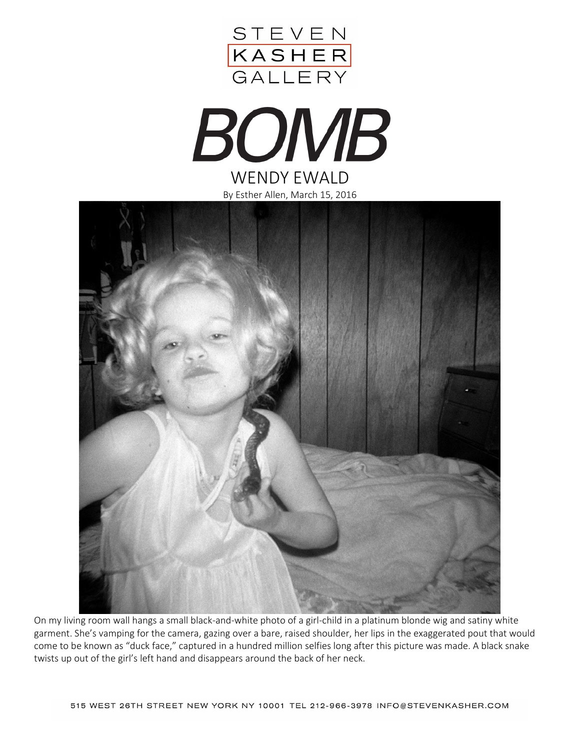







On my living room wall hangs a small black-and-white photo of a girl-child in a platinum blonde wig and satiny white garment. She's vamping for the camera, gazing over a bare, raised shoulder, her lips in the exaggerated pout that would come to be known as "duck face," captured in a hundred million selfies long after this picture was made. A black snake twists up out of the girl's left hand and disappears around the back of her neck.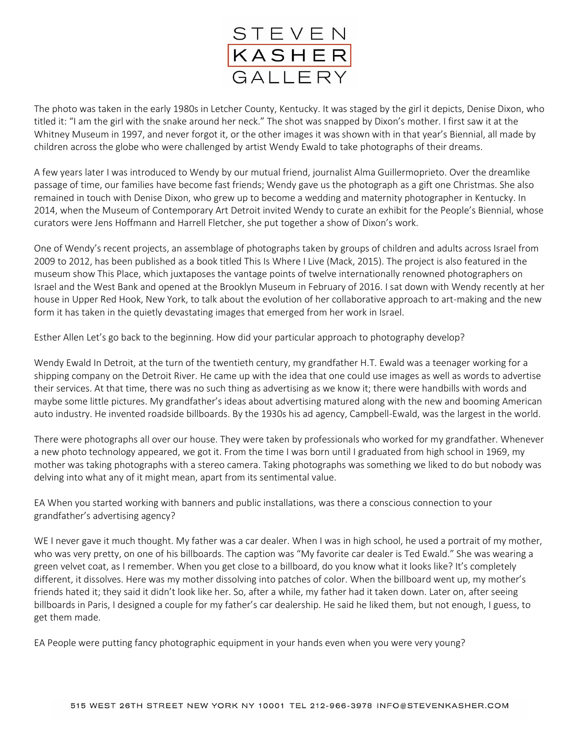

The photo was taken in the early 1980s in Letcher County, Kentucky. It was staged by the girl it depicts, Denise Dixon, who titled it: "I am the girl with the snake around her neck." The shot was snapped by Dixon's mother. I first saw it at the Whitney Museum in 1997, and never forgot it, or the other images it was shown with in that year's Biennial, all made by children across the globe who were challenged by artist Wendy Ewald to take photographs of their dreams.

A few years later I was introduced to Wendy by our mutual friend, journalist Alma Guillermoprieto. Over the dreamlike passage of time, our families have become fast friends; Wendy gave us the photograph as a gift one Christmas. She also remained in touch with Denise Dixon, who grew up to become a wedding and maternity photographer in Kentucky. In 2014, when the Museum of Contemporary Art Detroit invited Wendy to curate an exhibit for the People's Biennial, whose curators were Jens Hoffmann and Harrell Fletcher, she put together a show of Dixon's work.

One of Wendy's recent projects, an assemblage of photographs taken by groups of children and adults across Israel from 2009 to 2012, has been published as a book titled This Is Where I Live (Mack, 2015). The project is also featured in the museum show This Place, which juxtaposes the vantage points of twelve internationally renowned photographers on Israel and the West Bank and opened at the Brooklyn Museum in February of 2016. I sat down with Wendy recently at her house in Upper Red Hook, New York, to talk about the evolution of her collaborative approach to art-making and the new form it has taken in the quietly devastating images that emerged from her work in Israel.

Esther Allen Let's go back to the beginning. How did your particular approach to photography develop?

Wendy Ewald In Detroit, at the turn of the twentieth century, my grandfather H.T. Ewald was a teenager working for a shipping company on the Detroit River. He came up with the idea that one could use images as well as words to advertise their services. At that time, there was no such thing as advertising as we know it; there were handbills with words and maybe some little pictures. My grandfather's ideas about advertising matured along with the new and booming American auto industry. He invented roadside billboards. By the 1930s his ad agency, Campbell-Ewald, was the largest in the world.

There were photographs all over our house. They were taken by professionals who worked for my grandfather. Whenever a new photo technology appeared, we got it. From the time I was born until I graduated from high school in 1969, my mother was taking photographs with a stereo camera. Taking photographs was something we liked to do but nobody was delving into what any of it might mean, apart from its sentimental value.

EA When you started working with banners and public installations, was there a conscious connection to your grandfather's advertising agency?

WE I never gave it much thought. My father was a car dealer. When I was in high school, he used a portrait of my mother, who was very pretty, on one of his billboards. The caption was "My favorite car dealer is Ted Ewald." She was wearing a green velvet coat, as I remember. When you get close to a billboard, do you know what it looks like? It's completely different, it dissolves. Here was my mother dissolving into patches of color. When the billboard went up, my mother's friends hated it; they said it didn't look like her. So, after a while, my father had it taken down. Later on, after seeing billboards in Paris, I designed a couple for my father's car dealership. He said he liked them, but not enough, I guess, to get them made.

EA People were putting fancy photographic equipment in your hands even when you were very young?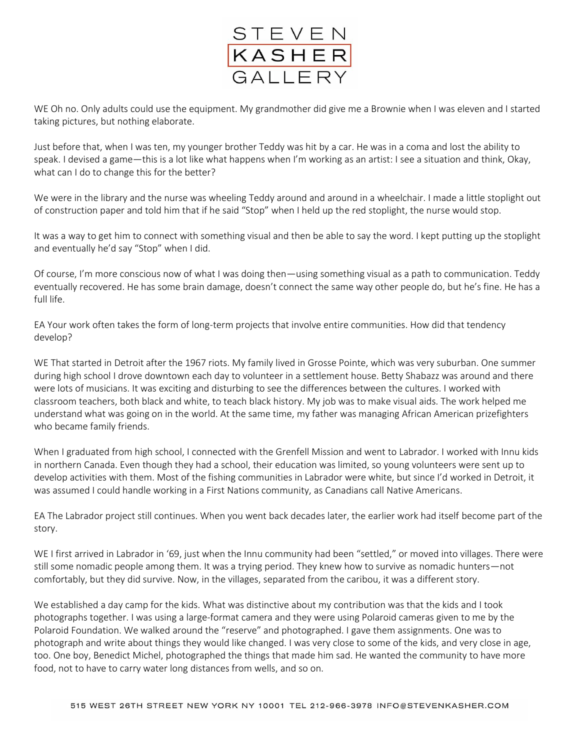

WE Oh no. Only adults could use the equipment. My grandmother did give me a Brownie when I was eleven and I started taking pictures, but nothing elaborate.

Just before that, when I was ten, my younger brother Teddy was hit by a car. He was in a coma and lost the ability to speak. I devised a game—this is a lot like what happens when I'm working as an artist: I see a situation and think, Okay, what can I do to change this for the better?

We were in the library and the nurse was wheeling Teddy around and around in a wheelchair. I made a little stoplight out of construction paper and told him that if he said "Stop" when I held up the red stoplight, the nurse would stop.

It was a way to get him to connect with something visual and then be able to say the word. I kept putting up the stoplight and eventually he'd say "Stop" when I did.

Of course, I'm more conscious now of what I was doing then—using something visual as a path to communication. Teddy eventually recovered. He has some brain damage, doesn't connect the same way other people do, but he's fine. He has a full life.

EA Your work often takes the form of long-term projects that involve entire communities. How did that tendency develop?

WE That started in Detroit after the 1967 riots. My family lived in Grosse Pointe, which was very suburban. One summer during high school I drove downtown each day to volunteer in a settlement house. Betty Shabazz was around and there were lots of musicians. It was exciting and disturbing to see the differences between the cultures. I worked with classroom teachers, both black and white, to teach black history. My job was to make visual aids. The work helped me understand what was going on in the world. At the same time, my father was managing African American prizefighters who became family friends.

When I graduated from high school, I connected with the Grenfell Mission and went to Labrador. I worked with Innu kids in northern Canada. Even though they had a school, their education was limited, so young volunteers were sent up to develop activities with them. Most of the fishing communities in Labrador were white, but since I'd worked in Detroit, it was assumed I could handle working in a First Nations community, as Canadians call Native Americans.

EA The Labrador project still continues. When you went back decades later, the earlier work had itself become part of the story.

WE I first arrived in Labrador in '69, just when the Innu community had been "settled," or moved into villages. There were still some nomadic people among them. It was a trying period. They knew how to survive as nomadic hunters—not comfortably, but they did survive. Now, in the villages, separated from the caribou, it was a different story.

We established a day camp for the kids. What was distinctive about my contribution was that the kids and I took photographs together. I was using a large-format camera and they were using Polaroid cameras given to me by the Polaroid Foundation. We walked around the "reserve" and photographed. I gave them assignments. One was to photograph and write about things they would like changed. I was very close to some of the kids, and very close in age, too. One boy, Benedict Michel, photographed the things that made him sad. He wanted the community to have more food, not to have to carry water long distances from wells, and so on.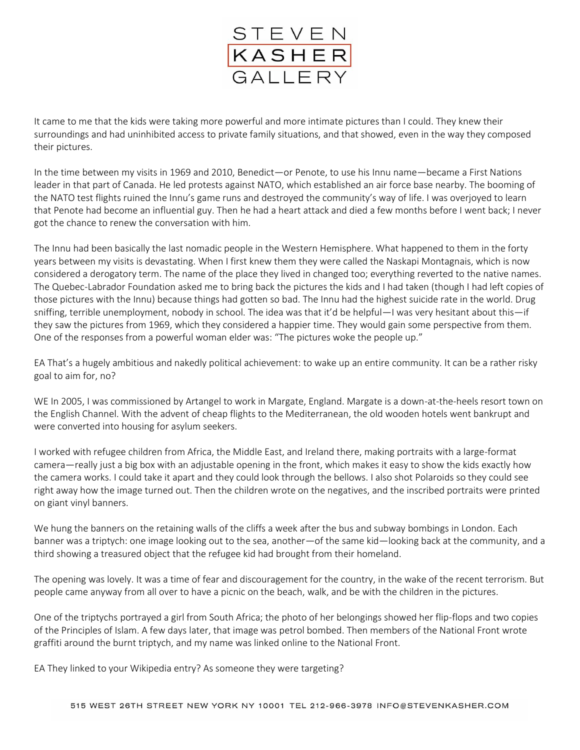

It came to me that the kids were taking more powerful and more intimate pictures than I could. They knew their surroundings and had uninhibited access to private family situations, and that showed, even in the way they composed their pictures.

In the time between my visits in 1969 and 2010, Benedict—or Penote, to use his Innu name—became a First Nations leader in that part of Canada. He led protests against NATO, which established an air force base nearby. The booming of the NATO test flights ruined the Innu's game runs and destroyed the community's way of life. I was overjoyed to learn that Penote had become an influential guy. Then he had a heart attack and died a few months before I went back; I never got the chance to renew the conversation with him.

The Innu had been basically the last nomadic people in the Western Hemisphere. What happened to them in the forty years between my visits is devastating. When I first knew them they were called the Naskapi Montagnais, which is now considered a derogatory term. The name of the place they lived in changed too; everything reverted to the native names. The Quebec-Labrador Foundation asked me to bring back the pictures the kids and I had taken (though I had left copies of those pictures with the Innu) because things had gotten so bad. The Innu had the highest suicide rate in the world. Drug sniffing, terrible unemployment, nobody in school. The idea was that it'd be helpful—I was very hesitant about this—if they saw the pictures from 1969, which they considered a happier time. They would gain some perspective from them. One of the responses from a powerful woman elder was: "The pictures woke the people up."

EA That's a hugely ambitious and nakedly political achievement: to wake up an entire community. It can be a rather risky goal to aim for, no?

WE In 2005, I was commissioned by Artangel to work in Margate, England. Margate is a down-at-the-heels resort town on the English Channel. With the advent of cheap flights to the Mediterranean, the old wooden hotels went bankrupt and were converted into housing for asylum seekers.

I worked with refugee children from Africa, the Middle East, and Ireland there, making portraits with a large-format camera—really just a big box with an adjustable opening in the front, which makes it easy to show the kids exactly how the camera works. I could take it apart and they could look through the bellows. I also shot Polaroids so they could see right away how the image turned out. Then the children wrote on the negatives, and the inscribed portraits were printed on giant vinyl banners.

We hung the banners on the retaining walls of the cliffs a week after the bus and subway bombings in London. Each banner was a triptych: one image looking out to the sea, another—of the same kid—looking back at the community, and a third showing a treasured object that the refugee kid had brought from their homeland.

The opening was lovely. It was a time of fear and discouragement for the country, in the wake of the recent terrorism. But people came anyway from all over to have a picnic on the beach, walk, and be with the children in the pictures.

One of the triptychs portrayed a girl from South Africa; the photo of her belongings showed her flip-flops and two copies of the Principles of Islam. A few days later, that image was petrol bombed. Then members of the National Front wrote graffiti around the burnt triptych, and my name was linked online to the National Front.

EA They linked to your Wikipedia entry? As someone they were targeting?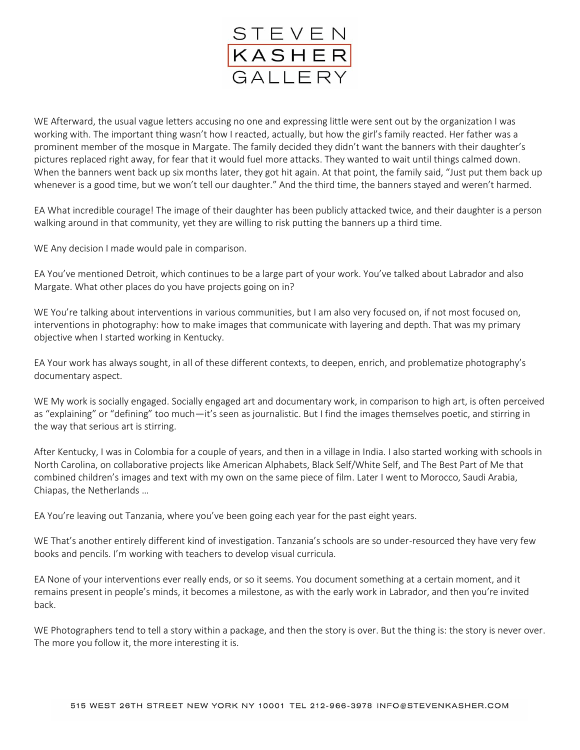

WE Afterward, the usual vague letters accusing no one and expressing little were sent out by the organization I was working with. The important thing wasn't how I reacted, actually, but how the girl's family reacted. Her father was a prominent member of the mosque in Margate. The family decided they didn't want the banners with their daughter's pictures replaced right away, for fear that it would fuel more attacks. They wanted to wait until things calmed down. When the banners went back up six months later, they got hit again. At that point, the family said, "Just put them back up whenever is a good time, but we won't tell our daughter." And the third time, the banners stayed and weren't harmed.

EA What incredible courage! The image of their daughter has been publicly attacked twice, and their daughter is a person walking around in that community, yet they are willing to risk putting the banners up a third time.

WE Any decision I made would pale in comparison.

EA You've mentioned Detroit, which continues to be a large part of your work. You've talked about Labrador and also Margate. What other places do you have projects going on in?

WE You're talking about interventions in various communities, but I am also very focused on, if not most focused on, interventions in photography: how to make images that communicate with layering and depth. That was my primary objective when I started working in Kentucky.

EA Your work has always sought, in all of these different contexts, to deepen, enrich, and problematize photography's documentary aspect.

WE My work is socially engaged. Socially engaged art and documentary work, in comparison to high art, is often perceived as "explaining" or "defining" too much—it's seen as journalistic. But I find the images themselves poetic, and stirring in the way that serious art is stirring.

After Kentucky, I was in Colombia for a couple of years, and then in a village in India. I also started working with schools in North Carolina, on collaborative projects like American Alphabets, Black Self/White Self, and The Best Part of Me that combined children's images and text with my own on the same piece of film. Later I went to Morocco, Saudi Arabia, Chiapas, the Netherlands …

EA You're leaving out Tanzania, where you've been going each year for the past eight years.

WE That's another entirely different kind of investigation. Tanzania's schools are so under-resourced they have very few books and pencils. I'm working with teachers to develop visual curricula.

EA None of your interventions ever really ends, or so it seems. You document something at a certain moment, and it remains present in people's minds, it becomes a milestone, as with the early work in Labrador, and then you're invited back.

WE Photographers tend to tell a story within a package, and then the story is over. But the thing is: the story is never over. The more you follow it, the more interesting it is.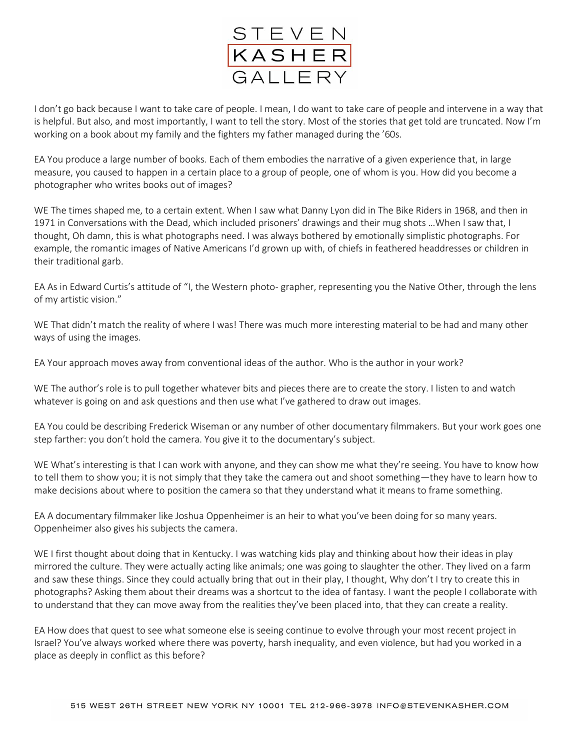

I don't go back because I want to take care of people. I mean, I do want to take care of people and intervene in a way that is helpful. But also, and most importantly, I want to tell the story. Most of the stories that get told are truncated. Now I'm working on a book about my family and the fighters my father managed during the '60s.

EA You produce a large number of books. Each of them embodies the narrative of a given experience that, in large measure, you caused to happen in a certain place to a group of people, one of whom is you. How did you become a photographer who writes books out of images?

WE The times shaped me, to a certain extent. When I saw what Danny Lyon did in The Bike Riders in 1968, and then in 1971 in Conversations with the Dead, which included prisoners' drawings and their mug shots …When I saw that, I thought, Oh damn, this is what photographs need. I was always bothered by emotionally simplistic photographs. For example, the romantic images of Native Americans I'd grown up with, of chiefs in feathered headdresses or children in their traditional garb.

EA As in Edward Curtis's attitude of "I, the Western photo- grapher, representing you the Native Other, through the lens of my artistic vision."

WE That didn't match the reality of where I was! There was much more interesting material to be had and many other ways of using the images.

EA Your approach moves away from conventional ideas of the author. Who is the author in your work?

WE The author's role is to pull together whatever bits and pieces there are to create the story. I listen to and watch whatever is going on and ask questions and then use what I've gathered to draw out images.

EA You could be describing Frederick Wiseman or any number of other documentary filmmakers. But your work goes one step farther: you don't hold the camera. You give it to the documentary's subject.

WE What's interesting is that I can work with anyone, and they can show me what they're seeing. You have to know how to tell them to show you; it is not simply that they take the camera out and shoot something—they have to learn how to make decisions about where to position the camera so that they understand what it means to frame something.

EA A documentary filmmaker like Joshua Oppenheimer is an heir to what you've been doing for so many years. Oppenheimer also gives his subjects the camera.

WE I first thought about doing that in Kentucky. I was watching kids play and thinking about how their ideas in play mirrored the culture. They were actually acting like animals; one was going to slaughter the other. They lived on a farm and saw these things. Since they could actually bring that out in their play, I thought, Why don't I try to create this in photographs? Asking them about their dreams was a shortcut to the idea of fantasy. I want the people I collaborate with to understand that they can move away from the realities they've been placed into, that they can create a reality.

EA How does that quest to see what someone else is seeing continue to evolve through your most recent project in Israel? You've always worked where there was poverty, harsh inequality, and even violence, but had you worked in a place as deeply in conflict as this before?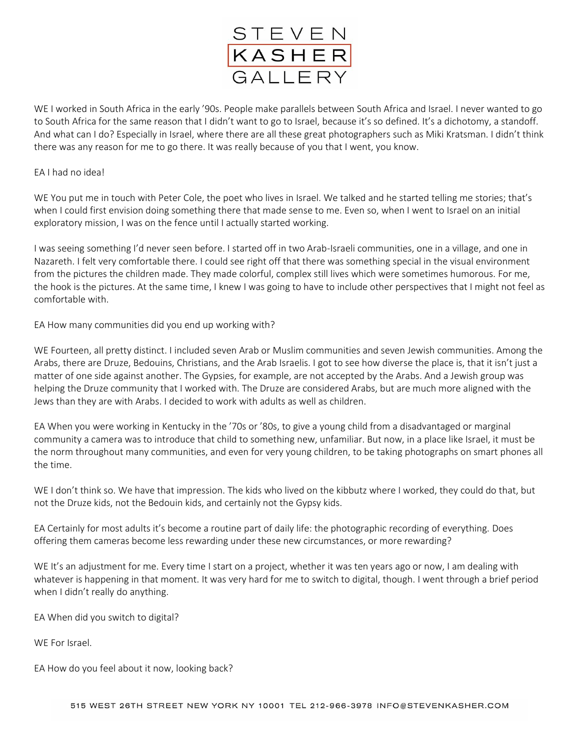

WE I worked in South Africa in the early '90s. People make parallels between South Africa and Israel. I never wanted to go to South Africa for the same reason that I didn't want to go to Israel, because it's so defined. It's a dichotomy, a standoff. And what can I do? Especially in Israel, where there are all these great photographers such as Miki Kratsman. I didn't think there was any reason for me to go there. It was really because of you that I went, you know.

## EA I had no idea!

WE You put me in touch with Peter Cole, the poet who lives in Israel. We talked and he started telling me stories; that's when I could first envision doing something there that made sense to me. Even so, when I went to Israel on an initial exploratory mission, I was on the fence until I actually started working.

I was seeing something I'd never seen before. I started off in two Arab-Israeli communities, one in a village, and one in Nazareth. I felt very comfortable there. I could see right off that there was something special in the visual environment from the pictures the children made. They made colorful, complex still lives which were sometimes humorous. For me, the hook is the pictures. At the same time, I knew I was going to have to include other perspectives that I might not feel as comfortable with.

EA How many communities did you end up working with?

WE Fourteen, all pretty distinct. I included seven Arab or Muslim communities and seven Jewish communities. Among the Arabs, there are Druze, Bedouins, Christians, and the Arab Israelis. I got to see how diverse the place is, that it isn't just a matter of one side against another. The Gypsies, for example, are not accepted by the Arabs. And a Jewish group was helping the Druze community that I worked with. The Druze are considered Arabs, but are much more aligned with the Jews than they are with Arabs. I decided to work with adults as well as children.

EA When you were working in Kentucky in the '70s or '80s, to give a young child from a disadvantaged or marginal community a camera was to introduce that child to something new, unfamiliar. But now, in a place like Israel, it must be the norm throughout many communities, and even for very young children, to be taking photographs on smart phones all the time.

WE I don't think so. We have that impression. The kids who lived on the kibbutz where I worked, they could do that, but not the Druze kids, not the Bedouin kids, and certainly not the Gypsy kids.

EA Certainly for most adults it's become a routine part of daily life: the photographic recording of everything. Does offering them cameras become less rewarding under these new circumstances, or more rewarding?

WE It's an adjustment for me. Every time I start on a project, whether it was ten years ago or now, I am dealing with whatever is happening in that moment. It was very hard for me to switch to digital, though. I went through a brief period when I didn't really do anything.

EA When did you switch to digital?

WE For Israel.

EA How do you feel about it now, looking back?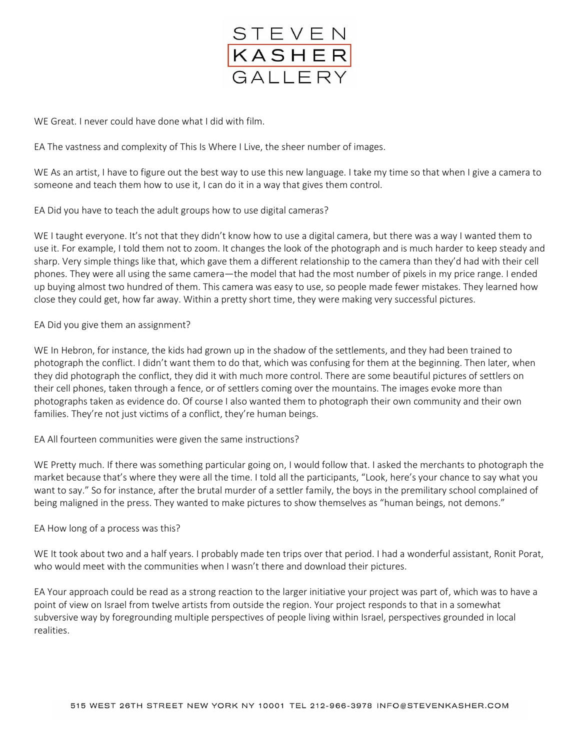

WE Great. I never could have done what I did with film.

EA The vastness and complexity of This Is Where I Live, the sheer number of images.

WE As an artist, I have to figure out the best way to use this new language. I take my time so that when I give a camera to someone and teach them how to use it, I can do it in a way that gives them control.

EA Did you have to teach the adult groups how to use digital cameras?

WE I taught everyone. It's not that they didn't know how to use a digital camera, but there was a way I wanted them to use it. For example, I told them not to zoom. It changes the look of the photograph and is much harder to keep steady and sharp. Very simple things like that, which gave them a different relationship to the camera than they'd had with their cell phones. They were all using the same camera—the model that had the most number of pixels in my price range. I ended up buying almost two hundred of them. This camera was easy to use, so people made fewer mistakes. They learned how close they could get, how far away. Within a pretty short time, they were making very successful pictures.

EA Did you give them an assignment?

WE In Hebron, for instance, the kids had grown up in the shadow of the settlements, and they had been trained to photograph the conflict. I didn't want them to do that, which was confusing for them at the beginning. Then later, when they did photograph the conflict, they did it with much more control. There are some beautiful pictures of settlers on their cell phones, taken through a fence, or of settlers coming over the mountains. The images evoke more than photographs taken as evidence do. Of course I also wanted them to photograph their own community and their own families. They're not just victims of a conflict, they're human beings.

EA All fourteen communities were given the same instructions?

WE Pretty much. If there was something particular going on, I would follow that. I asked the merchants to photograph the market because that's where they were all the time. I told all the participants, "Look, here's your chance to say what you want to say." So for instance, after the brutal murder of a settler family, the boys in the premilitary school complained of being maligned in the press. They wanted to make pictures to show themselves as "human beings, not demons."

## EA How long of a process was this?

WE It took about two and a half years. I probably made ten trips over that period. I had a wonderful assistant, Ronit Porat, who would meet with the communities when I wasn't there and download their pictures.

EA Your approach could be read as a strong reaction to the larger initiative your project was part of, which was to have a point of view on Israel from twelve artists from outside the region. Your project responds to that in a somewhat subversive way by foregrounding multiple perspectives of people living within Israel, perspectives grounded in local realities.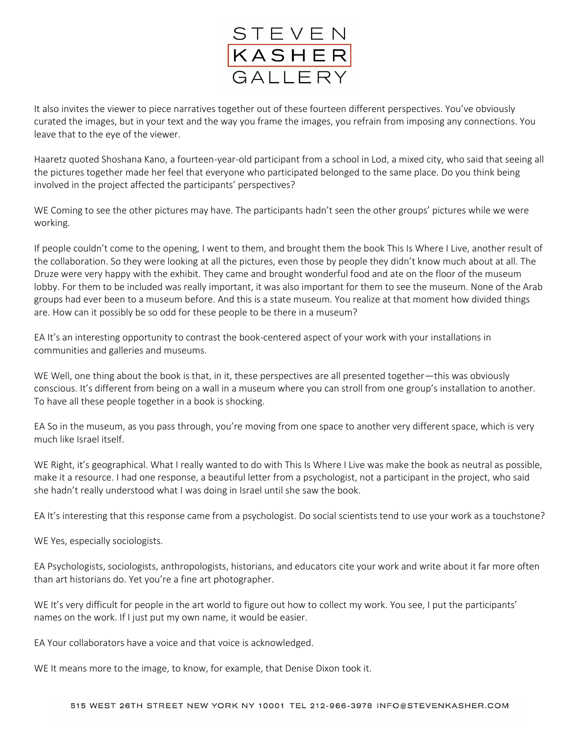

It also invites the viewer to piece narratives together out of these fourteen different perspectives. You've obviously curated the images, but in your text and the way you frame the images, you refrain from imposing any connections. You leave that to the eye of the viewer.

Haaretz quoted Shoshana Kano, a fourteen-year-old participant from a school in Lod, a mixed city, who said that seeing all the pictures together made her feel that everyone who participated belonged to the same place. Do you think being involved in the project affected the participants' perspectives?

WE Coming to see the other pictures may have. The participants hadn't seen the other groups' pictures while we were working.

If people couldn't come to the opening, I went to them, and brought them the book This Is Where I Live, another result of the collaboration. So they were looking at all the pictures, even those by people they didn't know much about at all. The Druze were very happy with the exhibit. They came and brought wonderful food and ate on the floor of the museum lobby. For them to be included was really important, it was also important for them to see the museum. None of the Arab groups had ever been to a museum before. And this is a state museum. You realize at that moment how divided things are. How can it possibly be so odd for these people to be there in a museum?

EA It's an interesting opportunity to contrast the book-centered aspect of your work with your installations in communities and galleries and museums.

WE Well, one thing about the book is that, in it, these perspectives are all presented together—this was obviously conscious. It's different from being on a wall in a museum where you can stroll from one group's installation to another. To have all these people together in a book is shocking.

EA So in the museum, as you pass through, you're moving from one space to another very different space, which is very much like Israel itself.

WE Right, it's geographical. What I really wanted to do with This Is Where I Live was make the book as neutral as possible, make it a resource. I had one response, a beautiful letter from a psychologist, not a participant in the project, who said she hadn't really understood what I was doing in Israel until she saw the book.

EA It's interesting that this response came from a psychologist. Do social scientists tend to use your work as a touchstone?

WE Yes, especially sociologists.

EA Psychologists, sociologists, anthropologists, historians, and educators cite your work and write about it far more often than art historians do. Yet you're a fine art photographer.

WE It's very difficult for people in the art world to figure out how to collect my work. You see, I put the participants' names on the work. If I just put my own name, it would be easier.

EA Your collaborators have a voice and that voice is acknowledged.

WE It means more to the image, to know, for example, that Denise Dixon took it.